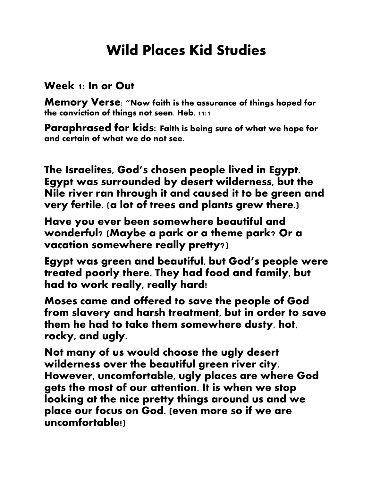## **Wild Places Kid Studies**

## **Week 1: In or Out**

**Memory Verse: "Now faith is the assurance of things hoped for the conviction of things not seen. Heb. 11:1**

**Paraphrased for kids: Faith is being sure of what we hope for and certain of what we do not see.**

**The Israelites, God's chosen people lived in Egypt. Egypt was surrounded by desert wilderness, but the Nile river ran through it and caused it to be green and very fertile. (a lot of trees and plants grew there.)**

**Have you ever been somewhere beautiful and wonderful? (Maybe a park or a theme park? Or a vacation somewhere really pretty?)**

**Egypt was green and beautiful, but God's people were treated poorly there. They had food and family, but had to work really, really hard!**

**Moses came and offered to save the people of God from slavery and harsh treatment, but in order to save them he had to take them somewhere dusty, hot, rocky, and ugly.**

**Not many of us would choose the ugly desert wilderness over the beautiful green river city. However, uncomfortable, ugly places are where God gets the most of our attention. It is when we stop looking at the nice pretty things around us and we place our focus on God. (even more so if we are uncomfortable!)**